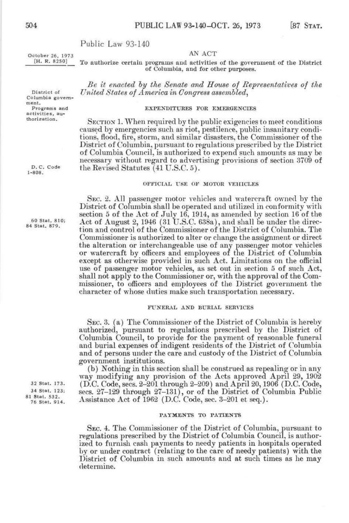## Public Law 93-140

Columbia government.<br>Programs and

thorization.

October 26, 1973<br>**F. R. 8250** *Po* authorize cartain programs and activities To authorize certain programs and activities of the government of the District of Columbia, and for other purposes.

*Be it enacted hy the Senate and House of Representatives of the*  District of *United States of America in Congress assemhled^* 

# Programs and **EXPENDITURES** FOR EMERGENCIES activities, au-

SECTION 1. When required by the public exigencies to meet conditions caused by emergencies such as riot, pestilence, public insanitary conditions, flood, fire, storm, and similar disasters, the Commissioner of the District of Columbia, pureuant to regulations prescribed by the District of Columbia Council, is authorized to expend such amounts as may be necessary without regard to advertising provisions of section 3709 of D. C. Code the Revised Statutes  $(41 \text{ U.S.C. } 5)$ .

## $\overline{O}$  $\overline{O}$  $\overline{O}$  $\overline{O}$  $\overline{O}$  $\overline{O}$  $\overline{O}$  $\overline{O}$  $\overline{O}$  $\overline{O}$  $\overline{O}$  $\overline{O}$ OrFICIAL USE OP MOTOR VEHICLES

SEC. 2. All passenger motor vehicles and watercraft owned by the District of Columbia shall be operated and utilized in conformity with section 5 of the Act of Julv 16, 1914, as amended by section 16 of the  $^{60 \text{ Stat. } 810}_{84 \text{ stat. } 879}$  Act of August 2, 1946 (31 U.S.C. 638a), and shall be under the direction and control of the Commissioner of the District of Columbia. The Commissioner is authorized to alter or change the assignment or direct the alteration or interchangeable use of any passenger motor vehicles or watercraft by officers and employees of the District of Columbia except as otherwise provided in such Act. Limitations on the official use of passenger motor vehicles, as set out in section 5 of such Act, shall not apply to the Commissioner or, with the approval of the Commissioner, to officers and employees of the District government the character of whose duties make such transportation necessary.

## FUNERAL AND BURIAL SERVICES

SEC. 3. (a) The Commissioner of the District of Columbia is hereby authorized, pursuant to regulations prescribed by the District of Columbia Council, to provide for the payment of reasonable funeral and burial expenses of indigent residents of the District of Columbia and of persons under the care and custody of the District of Columbia government institutions.

(b) Nothing in this section shall be construed as repealing or in any way modifying any provision of the Acts approved April 29, 1902 <sup>32 Stat.</sup> 173. (D.C. Code, secs.  $2-201$  through  $2-209$ ) and April 20, 1906 (D.C. Code,  $34$  Stat. 123. secs.  $27-129$  through  $27-131$ ) or of the District of Columbia Public. <sup>34 Stat. 123;</sup> secs.  $27-129$  through  $27-131$ ), or of the District of Columbia Public<br><sup>81 Stat. 532</sup>, Aggirtance Act of 1963 (D.C. Code are  $2, 901$  at ang)  $^{1}_{76}$  Stat. 532. Assistance Act of 1962 (D.C. Code, sec. 3-201 et seq.).

## PAYMENTS TO PATIENTS

SEC. 4. The Commissioner of the District of Columbia, pureuant to regulations prescribed by the District of Columbia Council, is authorized to furnish cash payments to needy patients in hospitals operated by or under contract (relating to the care of needy patients) with the I)istrict of Columbia in such amounts and at such times as he may determine.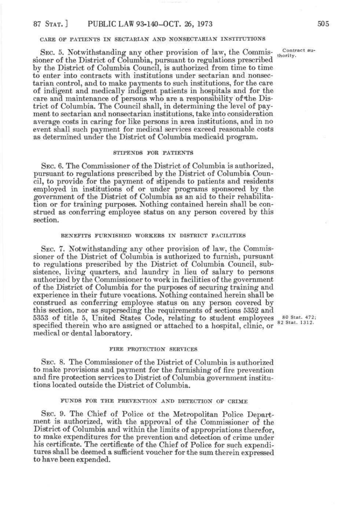## CARE OF PATIENTS IN SECTARIAN AND NONSECTARIAN INSTITUTIONS

SEC. 5. Notwithstanding any other provision of law, the Commissioner of the District of Columbia, pursuant to regulations prescribed by the District of Columbia Council, is authorized from time to time to enter into contracts with institutions under sectarian and nonsectarian control, and to make payments to such institutions, for the care of indigent and medically indigent patients in hospitals and for the care and maintenance of persons who are a responsibility of the District of Columbia. The Council shall, in determining the level of payment to sectarian and nonsectarian institutions, take into consideration average costs in caring for like persons in area institutions, and in no event shall such payment for medical services exceed reasonable costs as determined under the District of Columbia medicaid program.

#### STIPENDS FOR PATIENTS

SEC. 6. The Commissioner of the District of Columbia is authorized, pursuant to regulations prescribed by the District of Columbia Council, to provide for the payment of stipends to patients and residents employed in institutions of or under programs sponsored by the government of the District of Columbia as an aid to their rehabilitation or for training purposes. Nothing contained herein shall be construed as conferring employee status on any person covered by this section.

#### BENEFITS FURNISHED WORKERS IN DISTRICT FACILITIES

SEC. 7. Notwithstanding any other provision of law, the Commissioner of the District of Columbia is authorized to furnish, pursuant to regulations prescribed by the District of Columbia Council, subsistence, living quarters, and laundry in lieu of salary to persons authorized by the Commissioner to work in facilities of the government of the District of Columbia for the purposes of securing training and experience in their future vocations. Nothing contained herein shall be construed as conferring employee status on any person covered by this section, nor as superseding the requirements of sections 6352 and 5353 of title 5, United States Code, relating to student employees  $_{0.5}^{80}$  Stat. 472; specified therein who are assigned or attached to a hospital, clinic, or medical or dental laboratory.

82 Stat. 1312.

#### FIRE PROTECTION SERVICES

SEC. 8. The Commissioner of the District of Columbia is authorized to make provisions and payment for the furnishing of fire prevention and fire protection services to District of Columbia government institutions located outside the District of Columbia.

#### FUNDS FOR THE PREVENTION AND DETECTION OF CRIME

SEC. 9. The Chief of Police of the Metropolitan Police Department is authorized, with the approval of the Commissioner of the District of Columbia and within the limits of appropriations therefor, to make expenditures for the prevention and detection of crime under his certificate. The certificate of the Chief of Police for such expenditures shall be deemed a sufficient voucher for the sum therein expressed to have been expended.

Contract authority.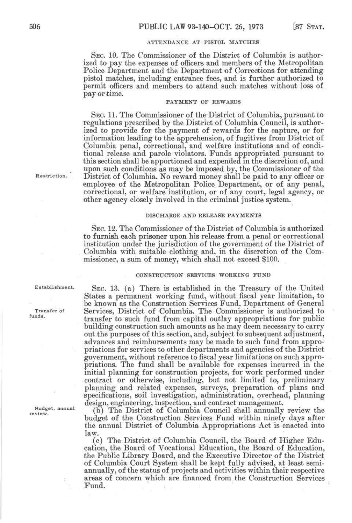## ATTEXDAXCE AT PISTOL MATCHES

SEC. 10. The Commissioner of the District of Columbia is authorized to pay the expenses of officers and members of the Metropolitan Police Department and the Department of Corrections for attending pistol matches, including entrance fees, and is further authorized to permit officers and members to attend such matches without loss of pay or time.

## PAYMENT OF REWARDS

SEC. 11. The Commissioner of the District of Columbia, pursuant to regulations prescribed by the District of Columbia Council, is authorized to provide for the payment of rewards for the capture, or for information leading to the apprehension, of fugitives from District of Columbia penal, correctional, and welfare institutions and of conditional release and parole violators. Funds appropriated pursuant to this section shall be apportioned and expended in the discretion of, and upon such conditions as may be imposed by, the Commissioner of the District of Columbia. No reward money shall be paid to any officer or employee of the Metropolitan Police Department, or of any penal, correctional, or welfare institution, or of any court, legal agency, or other agency closely involved in the criminal justice system.

## DISCHARGE AND RELEASE PAYMENTS

SEC. 12. The Commissioner of the District of Columbia is authorized to furnish each prisoner upon his release from a penal or correctional institution under the jurisdiction of the government of the District of Columbia with suitable clothing and, in the discretion of the Commissioner, a sum of money, which shall not exceed \$100.

### CONSTRUCTION SERVICES WORKING FUND

SEC. 13. (a) There is established in the Treasury of the United States a permanent working fund, without fiscal year limitation, to be known as the Construction Services Fund, Department of General Services, District of Columbia. The Commissioner is authorized to transfer to such fund from capital outlay appropriations for public building construction such amounts as he may deem necessary to carry out the purposes of this section, and, subject to subsequent adjustment, advances and reimbursements may be made to such fund from appropriations for services to other departments and agencies of the District government, without reference to fiscal year limitations on such appropriations. The fund shall be available for expenses incurred in the initial planning for construction projects, for work performed under contract or otherwise, including, but not limited to, preliminary planning and related expenses, surveys, preparation of plans and specifications, soil investigation, administration, overhead, planning design, engineering, inspection, and contract management.

(b) The District of Columbia Council shall annually review the budget of the Construction Services Fund within ninety days after the annual District of Columbia Appropriations Act is enacted into law.

(c) The District of Columbia Council, the Board of Higher Education, the Board of Vocational Education, the Board of Education, the Public Library Board, and the Executive Director of the District of Columbia Court System shall be kept fully advised, at least semiannually, of the status of projects and activities within their respective areas of concern which are financed from the Construction Services Fund.

Restriction.

Establishment.

Transfer of funds.

Budget, annual review.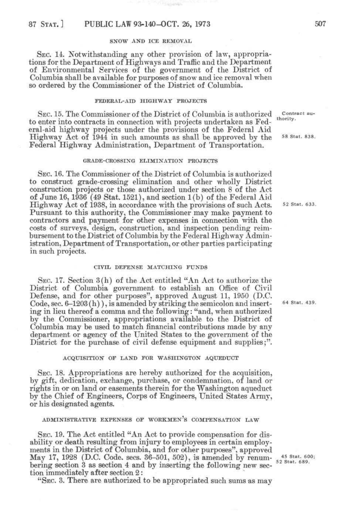## SXOW AND ICE REMOVAL

SEC. 14. Notwithstanding any other provision of law, appropriations for the Department of Highways and Traffic and the Department of Environmental Services of the government of the District of Columbia shall be available for purposes of snow and ice removal when so ordered by the Commissioner of the District of Columbia.

#### FEDERAL-AID HIGHWAY PROJECTS

SEC. 15. The Commissioner of the District of Columbia is authorized contract auto enter into contracts in connection with projects undertaken as Federal-aid highway projects under the provisions of the Federal Aid Highway Act of  $1944$  in such amounts as shall be approved by the  $58$  stat. 838. Federal Highway Administration, Department of Transportation.

## GRADE-CROSSING ELIMINATION PROJECTS

SEC. 16. The Commissioner of the District of Columbia is authorized to construct grade-crossing elimination and other wholly District construction projects or those authorized under section 8 of the Act of June 16, 1936 (49 Stat. 1521), and section 1(b) of the Federal Aid Highway Act of 1938, in accordance with the provisions of such Acts. 52 Stat. 633. Pursuant to this authority, the Commissioner may make payment to contractors and payment for other expenses in connection with the costs of surveys, design, construction, and inspection pending reimbursement to the District of Columbia by the Federal Highway Administration, Department of Transportation, or other parties participating in such projects.

## CIVIL DEFENSE MATCHING FUNDS

SEC. 17. Section 3(h) of the Act entitled "An Act to authorize the District of Columbia government to establish an Office of Civil Defense, and for other purposes", approved August 11, 1950 (D.C. Code, sec. 6-1203 (h)), is amended by striking the semicolon and insert- *^^* stat. 439. ing in lieu thereof a comma and the following: "and, when authorized by the Commissioner, appropriations available to the District of Columbia may be used to match financial contributions made by any department or agency of the United States to the government of the District for the purchase of civil defense equipment and supplies;".

### ACQUISITION OF LAND FOR WASHINGTON AQUEDUCT

SEC. 18. Appropriations are hereby authorized for the acquisition, by gift, dedication, exchange, purchase, or condemnation, of land or rights in or on land or easements therein for the Washington aqueduct by the Chief of Engineers, Corps of Engineers, United States Army, or his designated agents.

## ADMINISTRATIVE EXPENSES OF WORKMEN'S COMPENSATION LAW

SEC. 19. The Act entitled "An Act to provide compensation for disability or death resulting from injury to employees in certain employments in the District of Columbia, and for other purposes", approved May 17, 1928 (D.C. Code. secs.  $36-501$ ,  $502$ ), is amended by renum-  $_{52}^{45}$  Stat. 689. bering section 3 as section 4 and by inserting the following new section immediately after section 2:

"SEC. 3. There are authorized to be appropriated such sums as may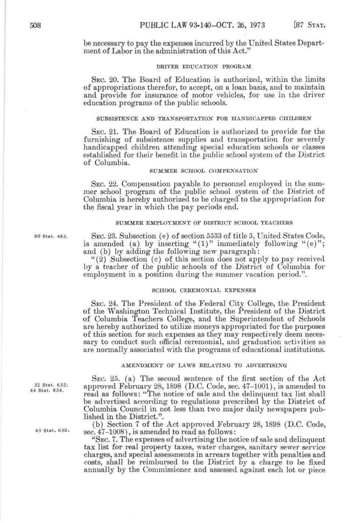be necessary to pay the expenses incurred by the United States Department of Labor in the administration of this Act."

## DRIVER EDUCATION PROGRAM

SEC. 20. The Board of Education is authorized, within the limits of appropriations therefor, to accept, on a loan basis, and to maintain and provide for insurance of motor vehicles, for use in the driver education programs of the public schools.

#### SUBSISTENCE AND TRANSPORTATION FOR HANDICAPPED CHILDREN

SEC. 21. The Board of Education is authorized to provide for the furnishing of subsistence supplies and transportation for severely handicapped children attending special education schools or classes established for their benefit in the public school system of the District of Columbia.

#### SUMMER SCHOOL COMPENSATION

SEC. 22. Compensation payable to personnel employed in the summer school program of the public school system of the District of Columbia is hereby authorized to be charged to the appropriation for the fiscal year in which the pay periods end.

#### SUMMER EMPLOYMENT OF DISTRICT SCHOOL TEACHERS

80 Stat. 483. SEC. 23. Subsectiou (e) of section 5533 of title 5, United States Code, is amended (a) by inserting " $(1)$ " immediately following " $(e)$ "; and (b) by adding the following new paragraph:

"(2) Subsection (c) of this section does not apply to pay received by a teacher of the public schools of the District of Columbia for employment in a position during the summer vacation period.".

## SCHOOL CEREMONIAL EXPENSES

SEC. 24. The President of the Federal City College, the President of the Washington Technical Institute, the President of the District of Columbia Teachers College, and the Superintendent of Schools are hereby authorized to utilize moneys appropriated for the purposes of this section for such expenses as they may respectively deem necessary to conduct such official ceremonial, and graduation activities as are normally associated with the programs of educational institutions.

## AMENDMENT OF LAWS RELATING TO ADVERTISING

SEC. 25. (a) The second sentence of the first section of the Act  $J<sub>44 Stat.</sub> 834$ , approved February 28, 1898 (D.C. Code, sec. 47-1001), is amended to read as follows: "The notice of sale and the delinquent tax list shall be advertised according to regulations prescribed by the District of Columbia Council in not less than two major daily newspapers published in the District.".

(b) Section 7 of the Act approved February 28, 1898 (D.C. Code,  $45$  Stat.  $650$ .  $sec. 47-1008$ , is amended to read as follows:

> "SEC. 7. The expenses of advertising the notice of sale and delinquent tax list for real property taxes, water charges, sanitary sewer service charges, and special assessments in arrears together with penalties and costs, shall be reimbursed to the District by a charge to be fixed annually by the Commissioner and assessed against each lot or piece